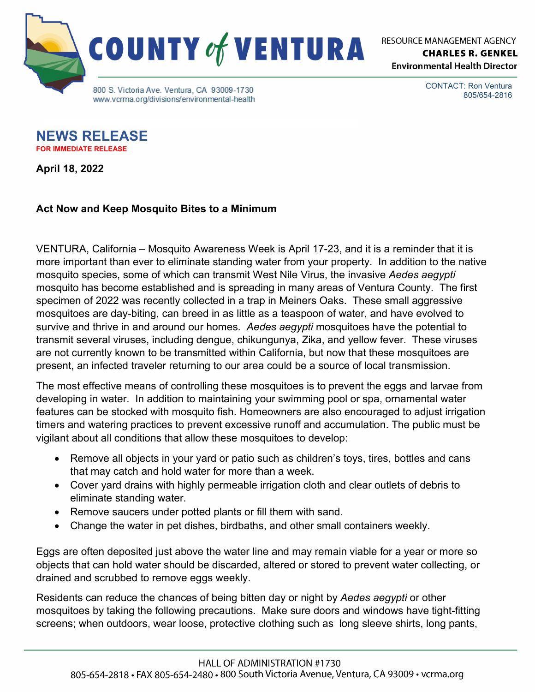

**RESOURCE MANAGEMENT AGENCY CHARLES R. GENKEL Environmental Health Director** 

> CONTACT: Ron Ventura 805/654-2816

**NEWS RELEASE FOR IMMEDIATE RELEASE**

**April 18, 2022**

## **Act Now and Keep Mosquito Bites to a Minimum**

VENTURA, California – Mosquito Awareness Week is April 17-23, and it is a reminder that it is more important than ever to eliminate standing water from your property. In addition to the native mosquito species, some of which can transmit West Nile Virus, the invasive *Aedes aegypti* mosquito has become established and is spreading in many areas of Ventura County. The first specimen of 2022 was recently collected in a trap in Meiners Oaks. These small aggressive mosquitoes are day-biting, can breed in as little as a teaspoon of water, and have evolved to survive and thrive in and around our homes. *Aedes aegypti* mosquitoes have the potential to transmit several viruses, including dengue, chikungunya, Zika, and yellow fever. These viruses are not currently known to be transmitted within California, but now that these mosquitoes are present, an infected traveler returning to our area could be a source of local transmission.

The most effective means of controlling these mosquitoes is to prevent the eggs and larvae from developing in water. In addition to maintaining your swimming pool or spa, ornamental water features can be stocked with mosquito fish. Homeowners are also encouraged to adjust irrigation timers and watering practices to prevent excessive runoff and accumulation. The public must be vigilant about all conditions that allow these mosquitoes to develop:

- Remove all objects in your yard or patio such as children's toys, tires, bottles and cans that may catch and hold water for more than a week.
- Cover yard drains with highly permeable irrigation cloth and clear outlets of debris to eliminate standing water.
- Remove saucers under potted plants or fill them with sand.
- Change the water in pet dishes, birdbaths, and other small containers weekly.

Eggs are often deposited just above the water line and may remain viable for a year or more so objects that can hold water should be discarded, altered or stored to prevent water collecting, or drained and scrubbed to remove eggs weekly.

Residents can reduce the chances of being bitten day or night by *Aedes aegypti* or other mosquitoes by taking the following precautions. Make sure doors and windows have tight-fitting screens; when outdoors, wear loose, protective clothing such as long sleeve shirts, long pants,